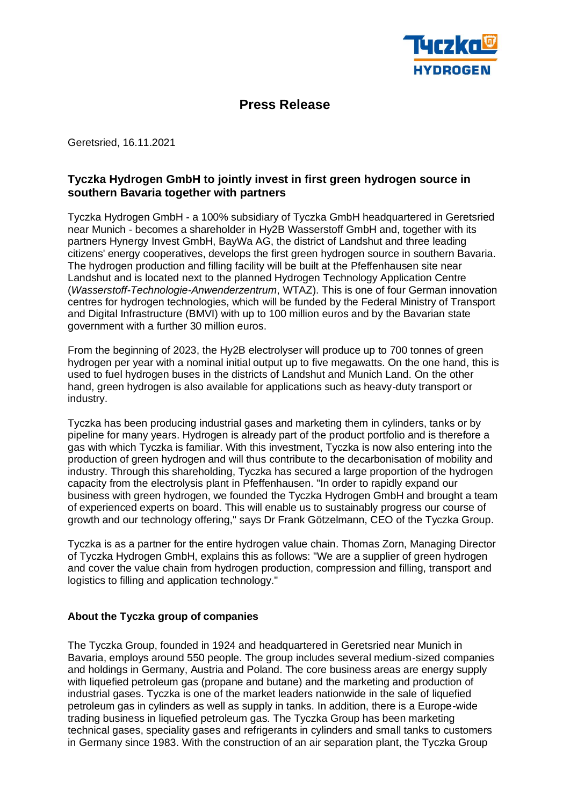

## **Press Release**

Geretsried, 16.11.2021

## **Tyczka Hydrogen GmbH to jointly invest in first green hydrogen source in southern Bavaria together with partners**

Tyczka Hydrogen GmbH - a 100% subsidiary of Tyczka GmbH headquartered in Geretsried near Munich - becomes a shareholder in Hy2B Wasserstoff GmbH and, together with its partners Hynergy Invest GmbH, BayWa AG, the district of Landshut and three leading citizens' energy cooperatives, develops the first green hydrogen source in southern Bavaria. The hydrogen production and filling facility will be built at the Pfeffenhausen site near Landshut and is located next to the planned Hydrogen Technology Application Centre (*Wasserstoff-Technologie-Anwenderzentrum*, WTAZ). This is one of four German innovation centres for hydrogen technologies, which will be funded by the Federal Ministry of Transport and Digital Infrastructure (BMVI) with up to 100 million euros and by the Bavarian state government with a further 30 million euros.

From the beginning of 2023, the Hy2B electrolyser will produce up to 700 tonnes of green hydrogen per year with a nominal initial output up to five megawatts. On the one hand, this is used to fuel hydrogen buses in the districts of Landshut and Munich Land. On the other hand, green hydrogen is also available for applications such as heavy-duty transport or industry.

Tyczka has been producing industrial gases and marketing them in cylinders, tanks or by pipeline for many years. Hydrogen is already part of the product portfolio and is therefore a gas with which Tyczka is familiar. With this investment, Tyczka is now also entering into the production of green hydrogen and will thus contribute to the decarbonisation of mobility and industry. Through this shareholding, Tyczka has secured a large proportion of the hydrogen capacity from the electrolysis plant in Pfeffenhausen. "In order to rapidly expand our business with green hydrogen, we founded the Tyczka Hydrogen GmbH and brought a team of experienced experts on board. This will enable us to sustainably progress our course of growth and our technology offering," says Dr Frank Götzelmann, CEO of the Tyczka Group.

Tyczka is as a partner for the entire hydrogen value chain. Thomas Zorn, Managing Director of Tyczka Hydrogen GmbH, explains this as follows: "We are a supplier of green hydrogen and cover the value chain from hydrogen production, compression and filling, transport and logistics to filling and application technology."

## **About the Tyczka group of companies**

The Tyczka Group, founded in 1924 and headquartered in Geretsried near Munich in Bavaria, employs around 550 people. The group includes several medium-sized companies and holdings in Germany, Austria and Poland. The core business areas are energy supply with liquefied petroleum gas (propane and butane) and the marketing and production of industrial gases. Tyczka is one of the market leaders nationwide in the sale of liquefied petroleum gas in cylinders as well as supply in tanks. In addition, there is a Europe-wide trading business in liquefied petroleum gas. The Tyczka Group has been marketing technical gases, speciality gases and refrigerants in cylinders and small tanks to customers in Germany since 1983. With the construction of an air separation plant, the Tyczka Group